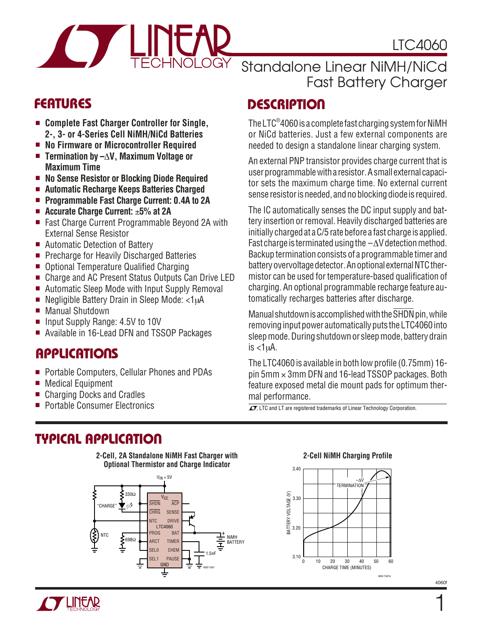LTC4060



Standalone Linear NiMH/NiCd Fast Battery Charger

- **Complete Fast Charger Controller for Single, 2-, 3- or 4-Series Cell NiMH/NiCd Batteries**
- **No Firmware or Microcontroller Required**
- **Termination by –**∆**V, Maximum Voltage or Maximum Time**
- **No Sense Resistor or Blocking Diode Required**
- **Automatic Recharge Keeps Batteries Charged**
- **Programmable Fast Charge Current: 0.4A to 2A**
- **Accurate Charge Current:** ±**5% at 2A**
- Fast Charge Current Programmable Beyond 2A with External Sense Resistor
- Automatic Detection of Battery
- Precharge for Heavily Discharged Batteries
- Optional Temperature Qualified Charging
- Charge and AC Present Status Outputs Can Drive LED
- Automatic Sleep Mode with Input Supply Removal
- Negligible Battery Drain in Sleep Mode: <1uA
- Manual Shutdown
- Input Supply Range: 4.5V to 10V
- Available in 16-Lead DFN and TSSOP Packages

### **APPLICATIONS**

- Portable Computers, Cellular Phones and PDAs
- Medical Equipment
- Charging Docks and Cradles
- 

## **TYPICAL APPLICATIO U**





# **DESCRIPTIO <sup>U</sup> FEATURES**

The LTC®4060 is a complete fast charging system for NiMH or NiCd batteries. Just a few external components are needed to design a standalone linear charging system.

An external PNP transistor provides charge current that is user programmable with a resistor. A small external capacitor sets the maximum charge time. No external current sense resistor is needed, and no blocking diode is required.

The IC automatically senses the DC input supply and battery insertion or removal. Heavily discharged batteries are initially charged at a C/5 rate before a fast charge is applied. Fast charge is terminated using the  $-\Delta V$  detection method. Backup termination consists of a programmable timer and battery overvoltage detector. An optional external NTC thermistor can be used for temperature-based qualification of charging. An optional programmable recharge feature automatically recharges batteries after discharge.

Manual shutdown is accomplished with the SHDN pin, while removing input power automatically puts the LTC4060 into sleep mode. During shutdown or sleep mode, battery drain is  $<1 \mu A$ .

The LTC4060 is available in both low profile (0.75mm) 16 pin 5mm × 3mm DFN and 16-lead TSSOP packages. Both feature exposed metal die mount pads for optimum thermal performance.

■ Portable Consumer Electronics  $\overline{I}$  LTC and LT are registered trademarks of Linear Technology Corporation.

#### **2-Cell NiMH Charging Profile**



4060f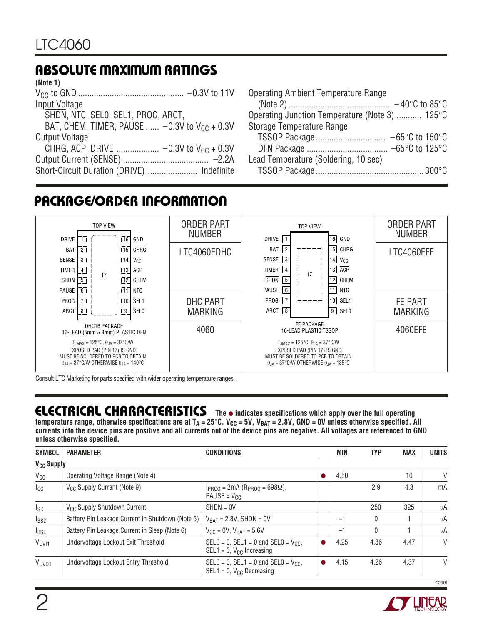## **ABSOLUTE MAXIMUM RATINGS W W W U**

| (Note 1)                                           |
|----------------------------------------------------|
|                                                    |
| Input Voltage                                      |
| SHDN, NTC, SELO, SEL1, PROG, ARCT,                 |
| BAT, CHEM, TIMER, PAUSE $-0.3V$ to $V_{CC}$ + 0.3V |
| Output Voltage                                     |
|                                                    |
|                                                    |
| Short-Circuit Duration (DRIVE)  Indefinite         |

| <b>Operating Ambient Temperature Range</b>     |  |
|------------------------------------------------|--|
|                                                |  |
| Operating Junction Temperature (Note 3)  125°C |  |
| Storage Temperature Range                      |  |
|                                                |  |
|                                                |  |
| Lead Temperature (Soldering, 10 sec)           |  |
|                                                |  |

### **PACKAGE/ORDER INFORMATION**



Consult LTC Marketing for parts specified with wider operating temperature ranges.

### **ELECTRICAL CHARACTERISTICS** The  $\bullet$  indicates specifications which apply over the full operating

temperature range, otherwise specifications are at T<sub>A</sub> = 25°C. V<sub>CC</sub> = 5V, V<sub>BAT</sub> = 2.8V, GND = 0V unless otherwise specified. All **currents into the device pins are positive and all currents out of the device pins are negative. All voltages are referenced to GND unless otherwise specified.**

| <b>SYMBOL</b>           | <b>PARAMETER</b>                                 | <b>CONDITIONS</b>                                                            | <b>MIN</b> | <b>TYP</b> | <b>MAX</b>   | <b>UNITS</b> |        |
|-------------------------|--------------------------------------------------|------------------------------------------------------------------------------|------------|------------|--------------|--------------|--------|
|                         | <b>V<sub>CC</sub></b> Supply                     |                                                                              |            |            |              |              |        |
| $V_{CC}$                | Operating Voltage Range (Note 4)                 |                                                                              |            | 4.50       |              | 10           | V      |
| $I_{\rm CC}$            | V <sub>CC</sub> Supply Current (Note 9)          | $I_{PROG}$ = 2mA (R <sub>PROG</sub> = 698 $\Omega$ ),<br>$PAUSE = V_{CC}$    |            |            | 2.9          | 4.3          | mA     |
| $I_{SD}$                | V <sub>CC</sub> Supply Shutdown Current          | $SHDN = OV$                                                                  |            |            | 250          | 325          | μA     |
| <b>I</b> <sub>BSD</sub> | Battery Pin Leakage Current in Shutdown (Note 5) | $V_{BAT} = 2.8V$ , SHDN = 0V                                                 |            | $-1$       | $\mathbf{0}$ |              | μA     |
| $I_{BSL}$               | Battery Pin Leakage Current in Sleep (Note 6)    | $V_{CC} = 0V$ , $V_{BAT} = 5.6V$                                             |            | $-1$       | $\mathbf{0}$ |              | μA     |
| V <sub>UVI1</sub>       | Undervoltage Lockout Exit Threshold              | SELO = 0, SEL1 = 0 and SELO = $V_{CC}$ ,<br>$SEL1 = 0$ , $V_{CC}$ Increasing |            | 4.25       | 4.36         | 4.47         | $\vee$ |
| V <sub>UVD1</sub>       | Undervoltage Lockout Entry Threshold             | SELO = 0, SEL1 = 0 and SELO = $V_{CC}$ ,<br>$SEL1 = 0$ , $V_{CC}$ Decreasing |            | 4.15       | 4.26         | 4.37         | $\vee$ |

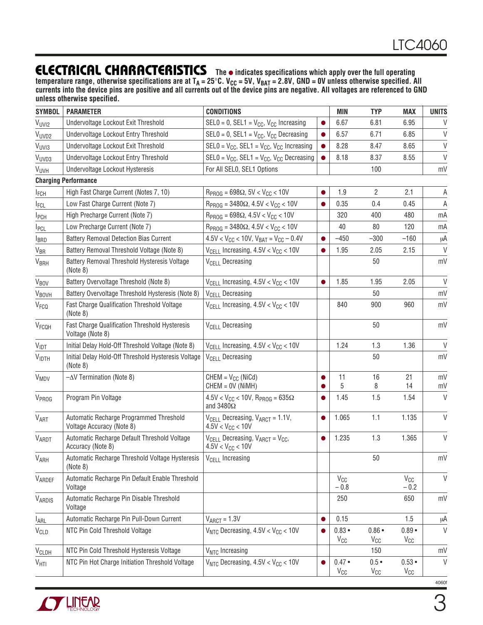### **ELECTRICAL CHARACTERISTICS**

**The** ● **indicates specifications which apply over the full operating** temperature range, otherwise specifications are at T<sub>A</sub> = 25°C. V<sub>CC</sub> = 5V, V<sub>BAT</sub> = 2.8V, GND = 0V unless otherwise specified. All **currents into the device pins are positive and all currents out of the device pins are negative. All voltages are referenced to GND unless otherwise specified.**

| <b>SYMBOL</b>           | <b>PARAMETER</b>                                                     | <b>CONDITIONS</b>                                                                         |                    | MIN                         | <b>TYP</b>                | <b>MAX</b>           | <b>UNITS</b> |
|-------------------------|----------------------------------------------------------------------|-------------------------------------------------------------------------------------------|--------------------|-----------------------------|---------------------------|----------------------|--------------|
| VUVI2                   | Undervoltage Lockout Exit Threshold                                  | $SELO = 0$ , $SEL1 = V_{CC}$ , $V_{CC}$ Increasing                                        |                    | 6.67                        | 6.81                      | 6.95                 | V            |
| V <sub>UVD2</sub>       | Undervoltage Lockout Entry Threshold                                 | SELO = 0, SEL1 = $V_{CC}$ , $V_{CC}$ Decreasing                                           | $\bullet$          | 6.57                        | 6.71                      | 6.85                 | V            |
| V <sub>UVI3</sub>       | Undervoltage Lockout Exit Threshold                                  | SELO = $V_{CC}$ , SEL1 = $V_{CC}$ , $V_{CC}$ Increasing                                   | $\bullet$          | 8.28                        | 8.47                      | 8.65                 | V            |
| V <sub>UVD3</sub>       | Undervoltage Lockout Entry Threshold                                 | SELO = $V_{CC}$ , SEL1 = $V_{CC}$ , $V_{CC}$ Decreasing                                   |                    | 8.18                        | 8.37                      | 8.55                 | $\vee$       |
| V <sub>UVH</sub>        | Undervoltage Lockout Hysteresis                                      | For All SELO, SEL1 Options                                                                |                    |                             | 100                       |                      | mV           |
|                         | <b>Charging Performance</b>                                          |                                                                                           |                    |                             |                           |                      |              |
| <b>I</b> FCH            | High Fast Charge Current (Notes 7, 10)                               | $R_{PROG} = 698\Omega$ , 5V < V <sub>CC</sub> < 10V                                       |                    | 1.9                         | 2                         | 2.1                  | A            |
| <b>I</b> FCL            | Low Fast Charge Current (Note 7)                                     | $R_{PROG} = 3480\Omega$ , $4.5V < V_{CC} < 10V$                                           |                    | 0.35                        | 0.4                       | 0.45                 | Α            |
| <b>I</b> <sub>PCH</sub> | High Precharge Current (Note 7)                                      | $R_{PROG} = 698\Omega$ , 4.5V < V <sub>CC</sub> < 10V                                     |                    | 320                         | 400                       | 480                  | mA           |
| I <sub>PCL</sub>        | Low Precharge Current (Note 7)                                       | $R_{PROG}$ = 3480 $\Omega$ , 4.5V < V <sub>CC</sub> < 10V                                 |                    | 40                          | 80                        | 120                  | mA           |
| <b>I</b> BRD            | <b>Battery Removal Detection Bias Current</b>                        | $4.5V < V_{CC}$ < 10V, $V_{BAT} = V_{CC} - 0.4V$                                          | $\bullet$          | $-450$                      | $-300$                    | $-160$               | μA           |
| <b>V<sub>BR</sub></b>   | Battery Removal Threshold Voltage (Note 8)                           | $V_{\text{CELL}}$ Increasing, $4.5V < V_{\text{CC}} < 10V$                                | $\bullet$          | 1.95                        | 2.05                      | 2.15                 | $\mathsf{V}$ |
| V <sub>BRH</sub>        | Battery Removal Threshold Hysteresis Voltage<br>(Note 8)             | V <sub>CELL</sub> Decreasing                                                              |                    |                             | 50                        |                      | mV           |
| <b>V<sub>BOV</sub></b>  | Battery Overvoltage Threshold (Note 8)                               | $V_{\text{CELL}}$ Increasing, 4.5V < $V_{\text{CC}}$ < 10V                                | $\bullet$          | 1.85                        | 1.95                      | 2.05                 | $\vee$       |
| <b>VBOVH</b>            | Battery Overvoltage Threshold Hysteresis (Note 8)                    | V <sub>CELL</sub> Decreasing                                                              |                    |                             | 50                        |                      | mV           |
| V <sub>FCQ</sub>        | Fast Charge Qualification Threshold Voltage<br>(Note 8)              | $V_{\text{CELL}}$ Increasing, 4.5V < $V_{\text{CC}}$ < 10V                                |                    | 840                         | 900                       | 960                  | mV           |
| V <sub>FCQH</sub>       | Fast Charge Qualification Threshold Hysteresis<br>Voltage (Note 8)   | <b>V<sub>CELL</sub></b> Decreasing                                                        |                    |                             | 50                        |                      | mV           |
| $V_{\text{IDT}}$        | Initial Delay Hold-Off Threshold Voltage (Note 8)                    | $V_{\text{CELL}}$ Increasing, 4.5V < $V_{\text{CC}}$ < 10V                                |                    | 1.24                        | 1.3                       | 1.36                 | $\vee$       |
| <b>VIDTH</b>            | Initial Delay Hold-Off Threshold Hysteresis Voltage<br>(Note 8)      | V <sub>CELL</sub> Decreasing                                                              |                    |                             | 50                        |                      | mV           |
| <b>V<sub>MDV</sub></b>  | $-\Delta V$ Termination (Note 8)                                     | $CHEM = V_{CC}$ (NiCd)                                                                    |                    | 11                          | 16                        | 21                   | mV           |
|                         |                                                                      | $CHEM = OV (NiMH)$                                                                        |                    | 5                           | 8                         | 14                   | mV           |
| <b>VPROG</b>            | Program Pin Voltage                                                  | $4.5V < V_{CC} < 10V$ , R <sub>PROG</sub> = 635 $\Omega$<br>and $3480\Omega$              |                    | 1.45                        | 1.5                       | 1.54                 | V            |
| VART                    | Automatic Recharge Programmed Threshold<br>Voltage Accuracy (Note 8) | $V_{\text{CELL}}$ Decreasing, $V_{\text{ART}} = 1.1V$ ,<br>$4.5V < V_{CC} < 10V$          |                    | 1.065                       | 1.1                       | 1.135                | $\vee$       |
| <b>VARDT</b>            | Automatic Recharge Default Threshold Voltage<br>Accuracy (Note 8)    | $V_{\text{CELL}}$ Decreasing, $V_{\text{ART}} = V_{\text{CC}}$ ,<br>$4.5V < V_{CC} < 10V$ | $\bullet$          | 1.235                       | 1.3                       | 1.365                | V            |
| V <sub>ARH</sub>        | Automatic Recharge Threshold Voltage Hysteresis<br>(Note 8)          | V <sub>CELL</sub> Increasing                                                              |                    |                             | 50                        |                      | mV           |
| VARDEF                  | Automatic Recharge Pin Default Enable Threshold<br>Voltage           |                                                                                           | $V_{CC}$<br>$-0.8$ |                             |                           | $V_{CC}$<br>$-0.2$   | $\mathsf{V}$ |
| VARDIS                  | Automatic Recharge Pin Disable Threshold<br>Voltage                  |                                                                                           |                    | 250                         |                           | 650                  | mV           |
| $I_{ARL}$               | Automatic Recharge Pin Pull-Down Current                             | $V_{\text{ART}} = 1.3V$                                                                   |                    | 0.15                        |                           | 1.5                  | μA           |
| V <sub>CLD</sub>        | NTC Pin Cold Threshold Voltage                                       | $V_{NTC}$ Decreasing, $4.5V < V_{CC} < 10V$                                               |                    | $0.83 -$<br>$V_{\text{CC}}$ | $0.86 \cdot$<br>$V_{CC}$  | $0.89 -$<br>$V_{CC}$ | $\vee$       |
| V <sub>CLDH</sub>       | NTC Pin Cold Threshold Hysteresis Voltage                            | V <sub>NTC</sub> Increasing                                                               |                    |                             | 150                       |                      | mV           |
| $V_{\text{HTI}}$        | NTC Pin Hot Charge Initiation Threshold Voltage                      | $V_{NTC}$ Decreasing, 4.5V < $V_{CC}$ < 10V                                               |                    | $0.47 \cdot$<br>$V_{CC}$    | $0.5 \bullet$<br>$V_{CC}$ | $0.53 -$<br>$V_{CC}$ | $\vee$       |

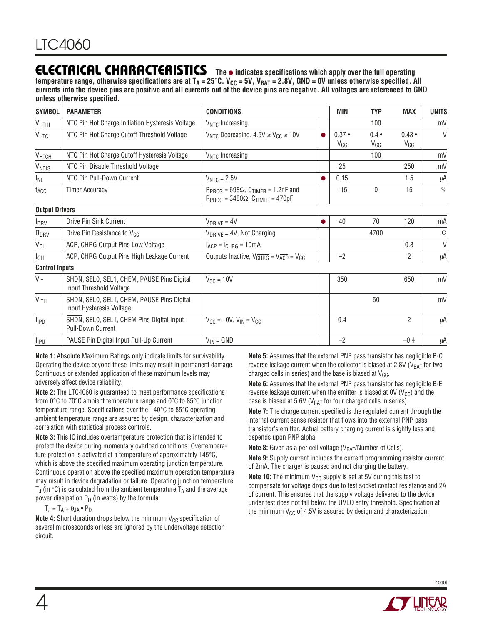### **ELECTRICAL CHARACTERISTICS**

**The** ● **indicates specifications which apply over the full operating** temperature range, otherwise specifications are at T<sub>A</sub> = 25°C. V<sub>CC</sub> = 5V, V<sub>BAT</sub> = 2.8V, GND = 0V unless otherwise specified. All **currents into the device pins are positive and all currents out of the device pins are negative. All voltages are referenced to GND unless otherwise specified.**

| <b>SYMBOL</b>           | <b>PARAMETER</b>                                                       | <b>CONDITIONS</b>                                                                                 |           | MIN                  | <b>TYP</b>                | <b>MAX</b>               | <b>UNITS</b>  |
|-------------------------|------------------------------------------------------------------------|---------------------------------------------------------------------------------------------------|-----------|----------------------|---------------------------|--------------------------|---------------|
| $V_{\text{HTIH}}$       | NTC Pin Hot Charge Initiation Hysteresis Voltage                       | $V_{NTC}$ Increasing                                                                              |           |                      | 100                       |                          | mV            |
| $V_{\text{HTC}}$        | NTC Pin Hot Charge Cutoff Threshold Voltage                            | $V_{NTC}$ Decreasing, $4.5V \leq V_{CC} \leq 10V$                                                 | $\bullet$ | $0.37 -$<br>$V_{CC}$ | $0.4 \bullet$<br>$V_{CC}$ | $0.43 \cdot$<br>$V_{CC}$ | $\vee$        |
| V <sub>HTCH</sub>       | NTC Pin Hot Charge Cutoff Hysteresis Voltage                           | V <sub>NTC</sub> Increasing                                                                       |           |                      | 100                       |                          | mV            |
| VNDIS                   | NTC Pin Disable Threshold Voltage                                      |                                                                                                   |           | 25                   |                           | 250                      | mV            |
| I <sub>NL</sub>         | NTC Pin Pull-Down Current                                              | $VNTC = 2.5V$                                                                                     |           |                      |                           | 1.5                      | μA            |
| t <sub>ACC</sub>        | <b>Timer Accuracy</b>                                                  | $R_{PROG} = 698\Omega$ , $C_{TIMER} = 1.2nF$ and<br>$R_{PROG} = 3480\Omega$ , $C_{TIMER} = 470pF$ |           | $-15$                | $\mathbf{0}$              | 15                       | $\frac{0}{0}$ |
| <b>Output Drivers</b>   |                                                                        |                                                                                                   |           |                      |                           |                          |               |
| $I_{DRV}$               | Drive Pin Sink Current                                                 | $V_{DRIVE} = 4V$                                                                                  |           |                      | 70                        | 120                      | mA            |
| R <sub>DRV</sub>        | Drive Pin Resistance to V <sub>CC</sub>                                | $V_{DRIVE} = 4V$ , Not Charging                                                                   |           |                      | 4700                      |                          | Ω             |
| $V_{OL}$                | ACP, CHRG Output Pins Low Voltage                                      | $I_{\overline{ACP}} = I_{\overline{CHRG}} = 10 \text{mA}$                                         |           |                      |                           | 0.8                      | $\vee$        |
| Iон                     | ACP, CHRG Output Pins High Leakage Current                             | Outputs Inactive, $V_{CHRG} = V_{\overline{ACP}} = V_{CC}$                                        |           | $-2$                 |                           | $\overline{2}$           | μA            |
| <b>Control Inputs</b>   |                                                                        |                                                                                                   |           |                      |                           |                          |               |
| $V_{\text{IT}}$         | SHDN, SELO, SEL1, CHEM, PAUSE Pins Digital<br>Input Threshold Voltage  | $V_{CC} = 10V$                                                                                    |           | 350                  |                           | 650                      | mV            |
| V <sub>ITH</sub>        | SHDN, SELO, SEL1, CHEM, PAUSE Pins Digital<br>Input Hysteresis Voltage |                                                                                                   |           | 50                   |                           | mV                       |               |
| <b>I</b> <sub>IPD</sub> | SHDN, SELO, SEL1, CHEM Pins Digital Input<br><b>Pull-Down Current</b>  | 0.4<br>$V_{CC}$ = 10V, $V_{IN}$ = $V_{CC}$                                                        |           |                      |                           | $\overline{2}$           | μA            |
| <b>I</b> <sub>IPU</sub> | PAUSE Pin Digital Input Pull-Up Current                                | $V_{IN} = GND$                                                                                    |           | $-2$                 |                           | $-0.4$                   | μA            |

**Note 1:** Absolute Maximum Ratings only indicate limits for survivability. Operating the device beyond these limits may result in permanent damage. Continuous or extended application of these maximum levels may adversely affect device reliability.

**Note 2:** The LTC4060 is guaranteed to meet performance specifications from 0°C to 70°C ambient temperature range and 0°C to 85°C junction temperature range. Specifications over the –40°C to 85°C operating ambient temperature range are assured by design, characterization and correlation with statistical process controls.

**Note 3:** This IC includes overtemperature protection that is intended to protect the device during momentary overload conditions. Overtemperature protection is activated at a temperature of approximately 145°C, which is above the specified maximum operating junction temperature. Continuous operation above the specified maximum operation temperature may result in device degradation or failure. Operating junction temperature T<sub>J</sub> (in  $\degree$ C) is calculated from the ambient temperature T<sub>A</sub> and the average power dissipation  $P_D$  (in watts) by the formula:

#### $T_J = T_A + \theta_{JA} \cdot P_D$

**Note 4:** Short duration drops below the minimum V<sub>CC</sub> specification of several microseconds or less are ignored by the undervoltage detection circuit.

**Note 5:** Assumes that the external PNP pass transistor has negligible B-C reverse leakage current when the collector is biased at 2.8V ( $V_{BAT}$  for two charged cells in series) and the base is biased at  $V_{CC}$ .

**Note 6:** Assumes that the external PNP pass transistor has negligible B-E reverse leakage current when the emitter is biased at  $0V$  ( $V_{CC}$ ) and the base is biased at 5.6V ( $V_{BAT}$  for four charged cells in series).

**Note 7:** The charge current specified is the regulated current through the internal current sense resistor that flows into the external PNP pass transistor's emitter. Actual battery charging current is slightly less and depends upon PNP alpha.

**Note 8:** Given as a per cell voltage (V<sub>BAT</sub>/Number of Cells).

**Note 9:** Supply current includes the current programming resistor current of 2mA. The charger is paused and not charging the battery.

**Note 10:** The minimum  $V_{CC}$  supply is set at 5V during this test to compensate for voltage drops due to test socket contact resistance and 2A of current. This ensures that the supply voltage delivered to the device under test does not fall below the UVLO entry threshold. Specification at the minimum  $V_{CC}$  of 4.5V is assured by design and characterization.

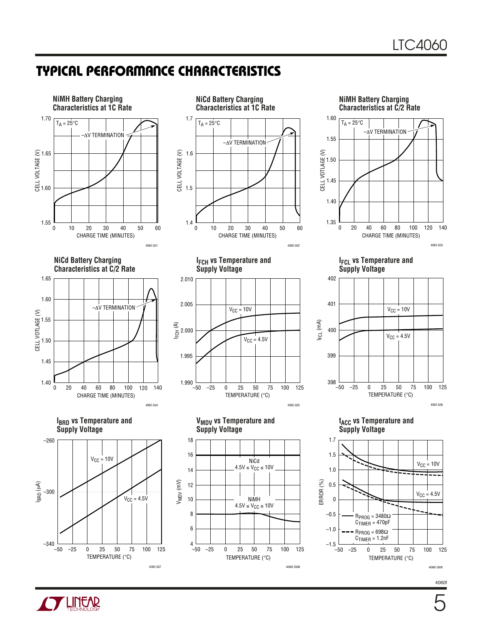### **TYPICAL PERFORMANCE CHARACTERISTICS**



**NiCd Battery Charging Characteristics at C/2 Rate**











**IFCH vs Temperature and Supply Voltage**



**VMDV vs Temperature and**

TEMPERATURE (°C)

25 75

NiCd  $4.5V \leq V_{CC} \leq 10V$ 

NiMH  $4.5V \leq V_{CC} \leq 10V$ 

–25 0 50 100 125

4060 G08

**Supply Voltage**

–50

12 14

VMDV (mV)

10 8

> 6 4

18

16

**IFCL vs Temperature and Supply Voltage**



**tACC vs Temperature and Supply Voltage**



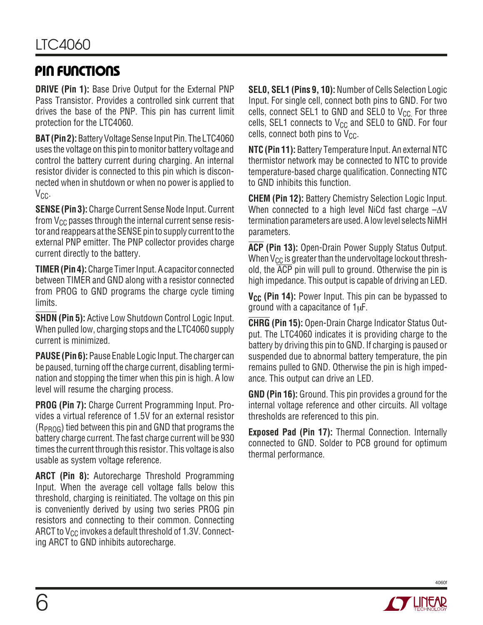### **PIN FUNCTIONS**

**DRIVE (Pin 1):** Base Drive Output for the External PNP Pass Transistor. Provides a controlled sink current that drives the base of the PNP. This pin has current limit protection for the LTC4060.

**BAT (Pin 2):** Battery Voltage Sense Input Pin. The LTC4060 uses the voltage on this pin to monitor battery voltage and control the battery current during charging. An internal resistor divider is connected to this pin which is disconnected when in shutdown or when no power is applied to V<sub>CC</sub>.

**SENSE (Pin 3):** Charge Current Sense Node Input. Current from  $V_{CC}$  passes through the internal current sense resistor and reappears at the SENSE pin to supply current to the external PNP emitter. The PNP collector provides charge current directly to the battery.

**TIMER (Pin 4):** Charge Timer Input. A capacitor connected between TIMER and GND along with a resistor connected from PROG to GND programs the charge cycle timing limits.

**SHDN (Pin 5):** Active Low Shutdown Control Logic Input. When pulled low, charging stops and the LTC4060 supply current is minimized.

**PAUSE (Pin 6):** Pause Enable Logic Input. The charger can be paused, turning off the charge current, disabling termination and stopping the timer when this pin is high. A low level will resume the charging process.

**PROG (Pin 7):** Charge Current Programming Input. Provides a virtual reference of 1.5V for an external resistor  $(R_{PROG})$  tied between this pin and GND that programs the battery charge current. The fast charge current will be 930 times the current through this resistor. This voltage is also usable as system voltage reference.

**ARCT (Pin 8):** Autorecharge Threshold Programming Input. When the average cell voltage falls below this threshold, charging is reinitiated. The voltage on this pin is conveniently derived by using two series PROG pin resistors and connecting to their common. Connecting ARCT to  $V_{CC}$  invokes a default threshold of 1.3V. Connecting ARCT to GND inhibits autorecharge.

**SEL0, SEL1 (Pins 9, 10):** Number of Cells Selection Logic Input. For single cell, connect both pins to GND. For two cells, connect SEL1 to GND and SEL0 to  $V_{CC}$  For three cells, SEL1 connects to  $V_{CC}$  and SEL0 to GND. For four cells, connect both pins to  $V_{CC}$ .

**NTC (Pin 11):** Battery Temperature Input. An external NTC thermistor network may be connected to NTC to provide temperature-based charge qualification. Connecting NTC to GND inhibits this function.

**CHEM (Pin 12):** Battery Chemistry Selection Logic Input. When connected to a high level NiCd fast charge –∆V termination parameters are used. A low level selects NiMH parameters.

**ACP (Pin 13):** Open-Drain Power Supply Status Output. When  $V_{CC}$  is greater than the undervoltage lockout threshold, the  $\overline{ACP}$  pin will pull to ground. Otherwise the pin is high impedance. This output is capable of driving an LED.

**V<sub>CC</sub>** (Pin 14): Power Input. This pin can be bypassed to ground with a capacitance of 1µF.

**CHRG (Pin 15):** Open-Drain Charge Indicator Status Output. The LTC4060 indicates it is providing charge to the battery by driving this pin to GND. If charging is paused or suspended due to abnormal battery temperature, the pin remains pulled to GND. Otherwise the pin is high impedance. This output can drive an LED.

**GND (Pin 16):** Ground. This pin provides a ground for the internal voltage reference and other circuits. All voltage thresholds are referenced to this pin.

**Exposed Pad (Pin 17):** Thermal Connection. Internally connected to GND. Solder to PCB ground for optimum thermal performance.

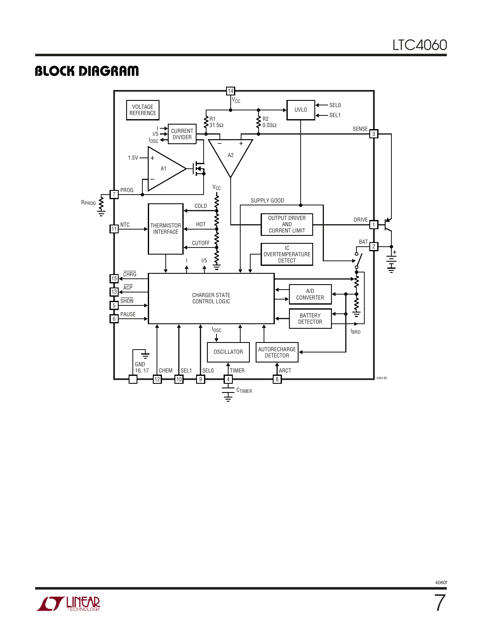### **BLOCK DIAGRAM**





4060f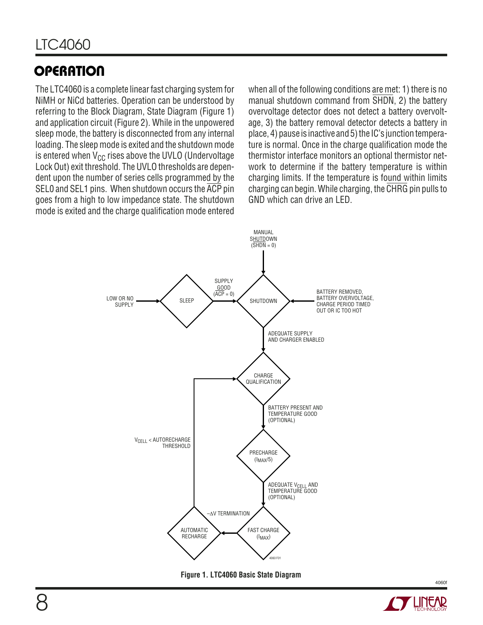The LTC4060 is a complete linear fast charging system for NiMH or NiCd batteries. Operation can be understood by referring to the Block Diagram, State Diagram (Figure 1) and application circuit (Figure 2). While in the unpowered sleep mode, the battery is disconnected from any internal loading. The sleep mode is exited and the shutdown mode is entered when  $V_{CC}$  rises above the UVLO (Undervoltage Lock Out) exit threshold. The UVLO thresholds are dependent upon the number of series cells programmed by the SEL0 and SEL1 pins. When shutdown occurs the  $\overline{ACP}$  pin goes from a high to low impedance state. The shutdown mode is exited and the charge qualification mode entered when all of the following conditions are met: 1) there is no manual shutdown command from SHDN, 2) the battery overvoltage detector does not detect a battery overvoltage, 3) the battery removal detector detects a battery in place, 4) pause is inactive and 5) the IC's junction temperature is normal. Once in the charge qualification mode the thermistor interface monitors an optional thermistor network to determine if the battery temperature is within charging limits. If the temperature is found within limits charging can begin. While charging, the CHRG pin pulls to GND which can drive an LED.



**Figure 1. LTC4060 Basic State Diagram**

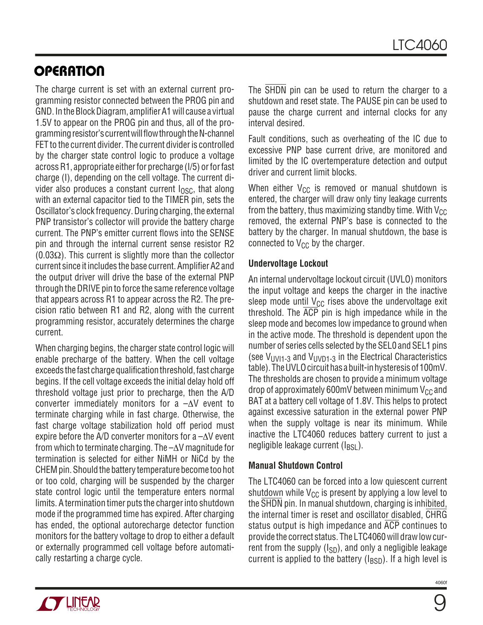The charge current is set with an external current programming resistor connected between the PROG pin and GND. In the Block Diagram, amplifier A1 will cause a virtual 1.5V to appear on the PROG pin and thus, all of the programming resistor's current will flow through the N-channel FET to the current divider. The current divider is controlled by the charger state control logic to produce a voltage across R1, appropriate either for precharge (I/5) or for fast charge (I), depending on the cell voltage. The current divider also produces a constant current  $I_{\text{OSC}}$ , that along with an external capacitor tied to the TIMER pin, sets the Oscillator's clock frequency. During charging, the external PNP transistor's collector will provide the battery charge current. The PNP's emitter current flows into the SENSE pin and through the internal current sense resistor R2  $(0.03\Omega)$ . This current is slightly more than the collector current since it includes the base current. Amplifier A2 and the output driver will drive the base of the external PNP through the DRIVE pin to force the same reference voltage that appears across R1 to appear across the R2. The precision ratio between R1 and R2, along with the current programming resistor, accurately determines the charge current.

When charging begins, the charger state control logic will enable precharge of the battery. When the cell voltage exceeds the fast charge qualification threshold, fast charge begins. If the cell voltage exceeds the initial delay hold off threshold voltage just prior to precharge, then the A/D converter immediately monitors for a –∆V event to terminate charging while in fast charge. Otherwise, the fast charge voltage stabilization hold off period must expire before the A/D converter monitors for a –∆V event from which to terminate charging. The –∆V magnitude for termination is selected for either NiMH or NiCd by the CHEM pin. Should the battery temperature become too hot or too cold, charging will be suspended by the charger state control logic until the temperature enters normal limits. A termination timer puts the charger into shutdown mode if the programmed time has expired. After charging has ended, the optional autorecharge detector function monitors for the battery voltage to drop to either a default or externally programmed cell voltage before automatically restarting a charge cycle.

The SHDN pin can be used to return the charger to a shutdown and reset state. The PAUSE pin can be used to pause the charge current and internal clocks for any interval desired.

Fault conditions, such as overheating of the IC due to excessive PNP base current drive, are monitored and limited by the IC overtemperature detection and output driver and current limit blocks.

When either  $V_{CC}$  is removed or manual shutdown is entered, the charger will draw only tiny leakage currents from the battery, thus maximizing standby time. With  $V_{CC}$ removed, the external PNP's base is connected to the battery by the charger. In manual shutdown, the base is connected to  $V_{CC}$  by the charger.

#### **Undervoltage Lockout**

An internal undervoltage lockout circuit (UVLO) monitors the input voltage and keeps the charger in the inactive sleep mode until  $V_{CC}$  rises above the undervoltage exit threshold. The  $\overline{ACP}$  pin is high impedance while in the sleep mode and becomes low impedance to ground when in the active mode. The threshold is dependent upon the number of series cells selected by the SEL0 and SEL1 pins (see  $V_{UV11-3}$  and  $V_{UVD1-3}$  in the Electrical Characteristics table). The UVLO circuit has a built-in hysteresis of 100mV. The thresholds are chosen to provide a minimum voltage drop of approximately 600mV between minimum  $V_{CC}$  and BAT at a battery cell voltage of 1.8V. This helps to protect against excessive saturation in the external power PNP when the supply voltage is near its minimum. While inactive the LTC4060 reduces battery current to just a negligible leakage current  $(I_{BSL})$ .

#### **Manual Shutdown Control**

The LTC4060 can be forced into a low quiescent current shutdown while  $V_{CC}$  is present by applying a low level to the SHDN pin. In manual shutdown, charging is inhibited, the internal timer is reset and oscillator disabled, CHRG status output is high impedance and ACP continues to provide the correct status. The LTC4060 will draw low current from the supply  $(I_{SD})$ , and only a negligible leakage current is applied to the battery  $(I_{\text{BSD}})$ . If a high level is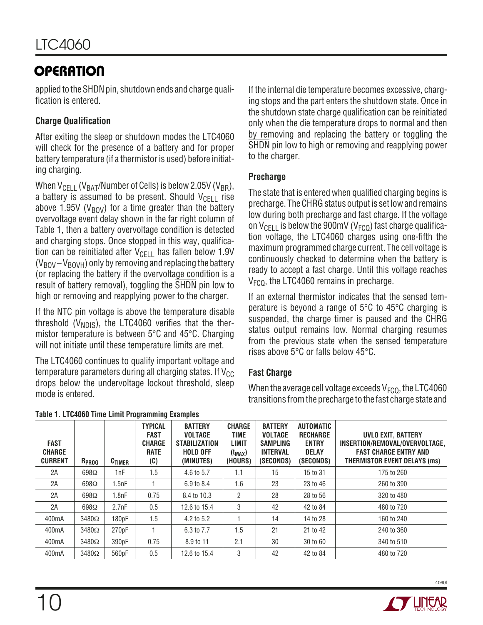applied to the SHDN pin, shutdown ends and charge qualification is entered.

### **Charge Qualification**

After exiting the sleep or shutdown modes the LTC4060 will check for the presence of a battery and for proper battery temperature (if a thermistor is used) before initiating charging.

When  $V_{\text{CELL}}$  (V<sub>BAT</sub>/Number of Cells) is below 2.05V (V<sub>BR</sub>), a battery is assumed to be present. Should  $V_{\text{CFI}}$  rise above 1.95V ( $V_{\text{BOV}}$ ) for a time greater than the battery overvoltage event delay shown in the far right column of Table 1, then a battery overvoltage condition is detected and charging stops. Once stopped in this way, qualification can be reinitiated after  $V_{\text{CELL}}$  has fallen below 1.9V  $(V_{\text{BOV}} - V_{\text{BOV}})$  only by removing and replacing the battery (or replacing the battery if the overvoltage condition is a result of battery removal), toggling the SHDN pin low to high or removing and reapplying power to the charger.

If the NTC pin voltage is above the temperature disable threshold ( $V_{NDIS}$ ), the LTC4060 verifies that the thermistor temperature is between 5°C and 45°C. Charging will not initiate until these temperature limits are met.

The LTC4060 continues to qualify important voltage and temperature parameters during all charging states. If  $V_{CC}$ drops below the undervoltage lockout threshold, sleep mode is entered.

If the internal die temperature becomes excessive, charging stops and the part enters the shutdown state. Once in the shutdown state charge qualification can be reinitiated only when the die temperature drops to normal and then by removing and replacing the battery or toggling the SHDN pin low to high or removing and reapplying power to the charger.

#### **Precharge**

The state that is entered when qualified charging begins is precharge. The CHRG status output is set low and remains low during both precharge and fast charge. If the voltage on  $V_{\text{CEL}}$  is below the 900mV (V<sub>FCQ</sub>) fast charge qualification voltage, the LTC4060 charges using one-fifth the maximum programmed charge current. The cell voltage is continuously checked to determine when the battery is ready to accept a fast charge. Until this voltage reaches  $V<sub>FCO</sub>$ , the LTC4060 remains in precharge.

If an external thermistor indicates that the sensed temperature is beyond a range of 5°C to 45°C charging is suspended, the charge timer is paused and the CHRG status output remains low. Normal charging resumes from the previous state when the sensed temperature rises above 5°C or falls below 45°C.

#### **Fast Charge**

When the average cell voltage exceeds  $V_{FCO}$ , the LTC4060 transitions from the precharge to the fast charge state and

| <b>FAST</b><br><b>CHARGE</b><br><b>CURRENT</b> | R <sub>PROG</sub> | $C$ TIMER | <b>TYPICAL</b><br><b>FAST</b><br><b>CHARGE</b><br><b>RATE</b><br>(C) | <b>BATTERY</b><br><b>VOLTAGE</b><br><b>STABILIZATION</b><br><b>HOLD OFF</b><br>(MINUTES) | <b>CHARGE</b><br>TIME<br>LIMIT<br>$(t_{MAX})$<br>(HOURS) | <b>BATTERY</b><br><b>VOLTAGE</b><br><b>SAMPLING</b><br><b>INTERVAL</b><br>(SECONDS) | AUTOMATIC<br><b>RECHARGE</b><br><b>ENTRY</b><br><b>DELAY</b><br>(SECONDS) | UVLO EXIT. BATTERY<br>INSERTION/REMOVAL/OVERVOLTAGE.<br><b>FAST CHARGE ENTRY AND</b><br><b>THERMISTOR EVENT DELAYS (ms)</b> |
|------------------------------------------------|-------------------|-----------|----------------------------------------------------------------------|------------------------------------------------------------------------------------------|----------------------------------------------------------|-------------------------------------------------------------------------------------|---------------------------------------------------------------------------|-----------------------------------------------------------------------------------------------------------------------------|
| 2A                                             | 698 $\Omega$      | 1nF       | 1.5                                                                  | 4.6 to 5.7                                                                               | 1.1                                                      | 15                                                                                  | 15 to 31                                                                  | 175 to 260                                                                                                                  |
| 2A                                             | 698 $\Omega$      | 1.5nF     |                                                                      | 6.9 to 8.4                                                                               | 1.6                                                      | 23                                                                                  | 23 to 46                                                                  | 260 to 390                                                                                                                  |
| 2A                                             | 698 $\Omega$      | 1.8nF     | 0.75                                                                 | 8.4 to 10.3                                                                              | 2                                                        | 28                                                                                  | 28 to 56                                                                  | 320 to 480                                                                                                                  |
| 2A                                             | $698\Omega$       | 2.7nF     | 0.5                                                                  | 12.6 to 15.4                                                                             | 3                                                        | 42                                                                                  | 42 to 84                                                                  | 480 to 720                                                                                                                  |
| 400mA                                          | $3480\Omega$      | 180pF     | 1.5                                                                  | 4.2 to 5.2                                                                               |                                                          | 14                                                                                  | 14 to 28                                                                  | 160 to 240                                                                                                                  |
| 400 <sub>m</sub> A                             | $3480\Omega$      | 270pF     |                                                                      | 6.3 to 7.7                                                                               | 1.5                                                      | 21                                                                                  | 21 to 42                                                                  | 240 to 360                                                                                                                  |
| 400 <sub>m</sub> A                             | $3480\Omega$      | 390pF     | 0.75                                                                 | 8.9 to 11                                                                                | 2.1                                                      | 30                                                                                  | 30 to 60                                                                  | 340 to 510                                                                                                                  |
| 400 <sub>m</sub> A                             | $3480\Omega$      | 560pF     | 0.5                                                                  | 12.6 to 15.4                                                                             | 3                                                        | 42                                                                                  | 42 to 84                                                                  | 480 to 720                                                                                                                  |

#### **Table 1. LTC4060 Time Limit Programming Examples**

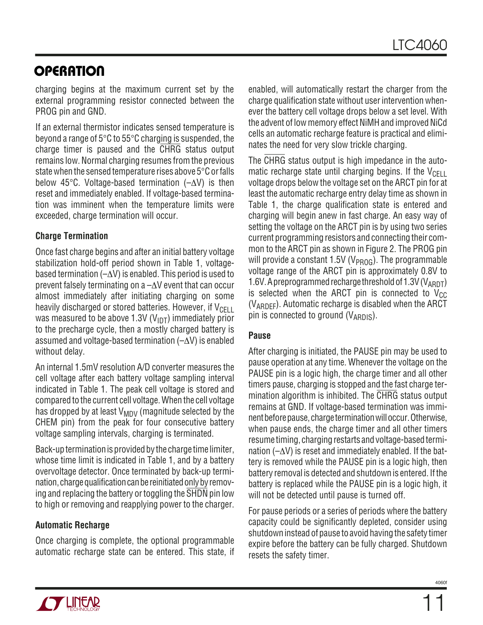charging begins at the maximum current set by the external programming resistor connected between the PROG pin and GND.

If an external thermistor indicates sensed temperature is beyond a range of 5°C to 55°C charging is suspended, the charge timer is paused and the CHRG status output remains low. Normal charging resumes from the previous state when the sensed temperature rises above 5°C or falls below 45°C. Voltage-based termination (–∆V) is then reset and immediately enabled. If voltage-based termination was imminent when the temperature limits were exceeded, charge termination will occur.

#### **Charge Termination**

Once fast charge begins and after an initial battery voltage stabilization hold-off period shown in Table 1, voltagebased termination (–∆V) is enabled. This period is used to prevent falsely terminating on a –∆V event that can occur almost immediately after initiating charging on some heavily discharged or stored batteries. However, if  $V_{\text{CFT}}$ was measured to be above 1.3V ( $V_{\text{IDT}}$ ) immediately prior to the precharge cycle, then a mostly charged battery is assumed and voltage-based termination (–∆V) is enabled without delay.

An internal 1.5mV resolution A/D converter measures the cell voltage after each battery voltage sampling interval indicated in Table 1. The peak cell voltage is stored and compared to the current cell voltage. When the cell voltage has dropped by at least  $V_{MDV}$  (magnitude selected by the CHEM pin) from the peak for four consecutive battery voltage sampling intervals, charging is terminated.

Back-up termination is provided by the charge time limiter, whose time limit is indicated in Table 1, and by a battery overvoltage detector. Once terminated by back-up termination, charge qualification can be reinitiated only by removing and replacing the battery or toggling the SHDN pin low to high or removing and reapplying power to the charger.

#### **Automatic Recharge**

Once charging is complete, the optional programmable automatic recharge state can be entered. This state, if enabled, will automatically restart the charger from the charge qualification state without user intervention whenever the battery cell voltage drops below a set level. With the advent of low memory effect NiMH and improved NiCd cells an automatic recharge feature is practical and eliminates the need for very slow trickle charging.

The CHRG status output is high impedance in the automatic recharge state until charging begins. If the  $V_{\text{CELL}}$ voltage drops below the voltage set on the ARCT pin for at least the automatic recharge entry delay time as shown in Table 1, the charge qualification state is entered and charging will begin anew in fast charge. An easy way of setting the voltage on the ARCT pin is by using two series current programming resistors and connecting their common to the ARCT pin as shown in Figure 2. The PROG pin will provide a constant 1.5V ( $V_{PROG}$ ). The programmable voltage range of the ARCT pin is approximately 0.8V to 1.6V. A preprogrammed recharge threshold of 1.3V ( $V_{\text{ABDT}}$ ) is selected when the ARCT pin is connected to  $V_{CC}$ (VARDEF). Automatic recharge is disabled when the ARCT pin is connected to ground  $(V_{\text{ARDIS}})$ .

#### **Pause**

After charging is initiated, the PAUSE pin may be used to pause operation at any time. Whenever the voltage on the PAUSE pin is a logic high, the charge timer and all other timers pause, charging is stopped and the fast charge termination algorithm is inhibited. The CHRG status output remains at GND. If voltage-based termination was imminent before pause, charge termination will occur. Otherwise, when pause ends, the charge timer and all other timers resume timing, charging restarts and voltage-based termination (–∆V) is reset and immediately enabled. If the battery is removed while the PAUSE pin is a logic high, then battery removal is detected and shutdown is entered. If the battery is replaced while the PAUSE pin is a logic high, it will not be detected until pause is turned off.

For pause periods or a series of periods where the battery capacity could be significantly depleted, consider using shutdown instead of pause to avoid having the safety timer expire before the battery can be fully charged. Shutdown resets the safety timer.

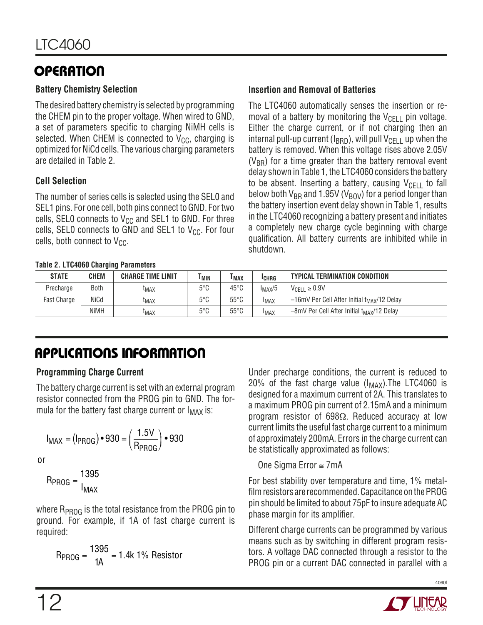#### **Battery Chemistry Selection**

The desired battery chemistry is selected by programming the CHEM pin to the proper voltage. When wired to GND, a set of parameters specific to charging NiMH cells is selected. When CHEM is connected to  $V_{CC}$ , charging is optimized for NiCd cells. The various charging parameters are detailed in Table 2.

#### **Cell Selection**

The number of series cells is selected using the SEL0 and SEL1 pins. For one cell, both pins connect to GND. For two cells, SEL0 connects to  $V_{CC}$  and SEL1 to GND. For three cells, SEL0 connects to GND and SEL1 to  $V_{CC}$ . For four cells, both connect to  $V_{CC}$ .

#### **Table 2. LTC4060 Charging Parameters**

#### **Insertion and Removal of Batteries**

The LTC4060 automatically senses the insertion or removal of a battery by monitoring the  $V_{\text{CFI}}$  pin voltage. Either the charge current, or if not charging then an internal pull-up current ( $I_{\rm{BBD}}$ ), will pull  $V_{\rm{CFI}}$  up when the battery is removed. When this voltage rises above 2.05V  $(V_{BB})$  for a time greater than the battery removal event delay shown in Table 1, the LTC4060 considers the battery to be absent. Inserting a battery, causing  $V_{\text{CFI}}$  to fall below both  $V_{BR}$  and 1.95V ( $V_{BOV}$ ) for a period longer than the battery insertion event delay shown in Table 1, results in the LTC4060 recognizing a battery present and initiates a completely new charge cycle beginning with charge qualification. All battery currents are inhibited while in shutdown.

| <b>STATE</b>       | <b>CHEM</b> | <b>CHARGE TIME LIMIT</b> | I MIN         | l MAX          | <b>ICHRG</b> | <b>TYPICAL TERMINATION CONDITION</b>                    |
|--------------------|-------------|--------------------------|---------------|----------------|--------------|---------------------------------------------------------|
| Precharge          | Both        | <sup>L</sup> MAX         | $5^{\circ}$ C | $45^{\circ}$ C | $I_{MAX}/5$  | $V_{\text{CFII}} \geq 0.9V$                             |
| <b>Fast Charge</b> | NiCd        | <sup>I</sup> MAX         | $5^{\circ}$ C | $55^{\circ}$ C | <b>IMAX</b>  | -16mV Per Cell After Initial t <sub>MAX</sub> /12 Delay |
|                    | <b>NiMH</b> | <sup>L</sup> MAX         | $5^{\circ}$ C | $55^{\circ}$ C | <b>IMAX</b>  | -8mV Per Cell After Initial t <sub>MAX</sub> /12 Delay  |

# **APPLICATIONS INFORMATION**

#### **Programming Charge Current**

The battery charge current is set with an external program resistor connected from the PROG pin to GND. The formula for the battery fast charge current or  $I_{MAX}$  is:

$$
I_{MAX} = (I_{PROG}) \cdot 930 = (\frac{1.5V}{R_{PROG}}) \cdot 930
$$

or

$$
R_{PROG} = \frac{1395}{I_{MAX}}
$$

where  $R_{PROG}$  is the total resistance from the PROG pin to ground. For example, if 1A of fast charge current is required:

$$
R_{PROG} = \frac{1395}{1A} = 1.4k 1\% \text{ resistor}
$$

Under precharge conditions, the current is reduced to 20% of the fast charge value  $(I_{MAX})$ . The LTC4060 is designed for a maximum current of 2A. This translates to a maximum PROG pin current of 2.15mA and a minimum program resistor of 698Ω. Reduced accuracy at low current limits the useful fast charge current to a minimum of approximately 200mA. Errors in the charge current can be statistically approximated as follows:

#### One Sigma Error ≅ 7mA

For best stability over temperature and time, 1% metalfilm resistors are recommended. Capacitance on the PROG pin should be limited to about 75pF to insure adequate AC phase margin for its amplifier.

Different charge currents can be programmed by various means such as by switching in different program resistors. A voltage DAC connected through a resistor to the PROG pin or a current DAC connected in parallel with a

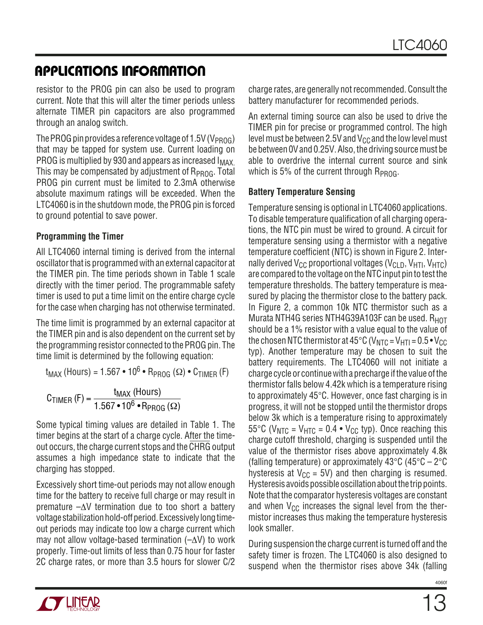### **APPLICATIONS INFORMATION**

resistor to the PROG pin can also be used to program current. Note that this will alter the timer periods unless alternate TIMER pin capacitors are also programmed through an analog switch.

The PROG pin provides a reference voltage of 1.5V (V<sub>PROG</sub>) that may be tapped for system use. Current loading on PROG is multiplied by 930 and appears as increased I<sub>MAX</sub>. This may be compensated by adjustment of  $R_{PROG}$ . Total PROG pin current must be limited to 2.3mA otherwise absolute maximum ratings will be exceeded. When the LTC4060 is in the shutdown mode, the PROG pin is forced to ground potential to save power.

#### **Programming the Timer**

All LTC4060 internal timing is derived from the internal oscillator that is programmed with an external capacitor at the TIMER pin. The time periods shown in Table 1 scale directly with the timer period. The programmable safety timer is used to put a time limit on the entire charge cycle for the case when charging has not otherwise terminated.

The time limit is programmed by an external capacitor at the TIMER pin and is also dependent on the current set by the programming resistor connected to the PROG pin. The time limit is determined by the following equation:

 $t_{MAX}$  (Hours) = 1.567 • 10<sup>6</sup> • R<sub>PROG</sub> ( $\Omega$ ) • C<sub>TIMER</sub> (F)

$$
C_{TIMER} (F) = \frac{t_{MAX} (Hours)}{1.567 \cdot 10^6 \cdot R_{PROG} (\Omega)}
$$

Some typical timing values are detailed in Table 1. The timer begins at the start of a charge cycle. After the timeout occurs, the charge current stops and the CHRG output assumes a high impedance state to indicate that the charging has stopped.

Excessively short time-out periods may not allow enough time for the battery to receive full charge or may result in premature –∆V termination due to too short a battery voltage stabilization hold-off period. Excessively long timeout periods may indicate too low a charge current which may not allow voltage-based termination (–∆V) to work properly. Time-out limits of less than 0.75 hour for faster 2C charge rates, or more than 3.5 hours for slower C/2

charge rates, are generally not recommended. Consult the battery manufacturer for recommended periods.

An external timing source can also be used to drive the TIMER pin for precise or programmed control. The high level must be between 2.5V and  $V_{CC}$  and the low level must be between 0V and 0.25V. Also, the driving source must be able to overdrive the internal current source and sink which is 5% of the current through  $R_{PROG}$ .

#### **Battery Temperature Sensing**

Temperature sensing is optional in LTC4060 applications. To disable temperature qualification of all charging operations, the NTC pin must be wired to ground. A circuit for temperature sensing using a thermistor with a negative temperature coefficient (NTC) is shown in Figure 2. Internally derived  $V_{CC}$  proportional voltages ( $V_{CLD}$ ,  $V_{HTD}$ ,  $V_{HTC}$ ) are compared to the voltage on the NTC input pin to test the temperature thresholds. The battery temperature is measured by placing the thermistor close to the battery pack. In Figure 2, a common 10k NTC thermistor such as a Murata NTH4G series NTH4G39A103F can be used.  $R_{HOT}$ should be a 1% resistor with a value equal to the value of the chosen NTC thermistor at 45 $^{\circ}$ C (V<sub>NTC</sub> = V<sub>HTI</sub> = 0.5 $\cdot$  V<sub>CC</sub> typ). Another temperature may be chosen to suit the battery requirements. The LTC4060 will not initiate a charge cycle or continue with a precharge if the value of the thermistor falls below 4.42k which is a temperature rising to approximately 45°C. However, once fast charging is in progress, it will not be stopped until the thermistor drops below 3k which is a temperature rising to approximately 55°C ( $V_{\text{NTC}}$  =  $V_{\text{HTC}}$  = 0.4 •  $V_{\text{CC}}$  typ). Once reaching this charge cutoff threshold, charging is suspended until the value of the thermistor rises above approximately 4.8k (falling temperature) or approximately 43 $\degree$ C (45 $\degree$ C – 2 $\degree$ C hysteresis at  $V_{CC} = 5V$ ) and then charging is resumed. Hysteresis avoids possible oscillation about the trip points. Note that the comparator hysteresis voltages are constant and when  $V_{CC}$  increases the signal level from the thermistor increases thus making the temperature hysteresis look smaller.

During suspension the charge current is turned off and the safety timer is frozen. The LTC4060 is also designed to suspend when the thermistor rises above 34k (falling

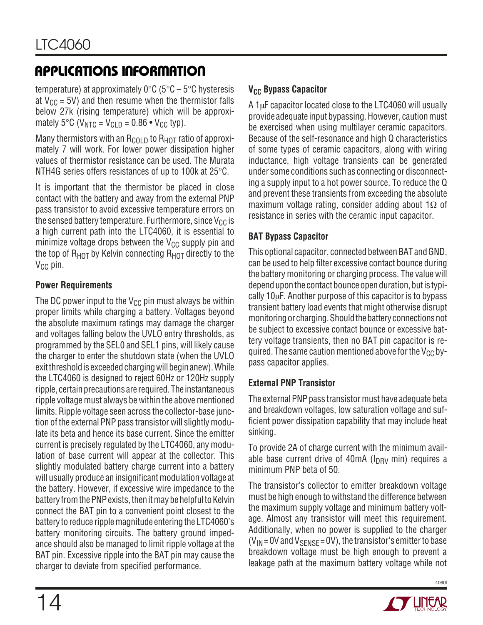# **APPLICATIONS INFORMATION**

temperature) at approximately  $0^{\circ}$ C (5°C – 5°C hysteresis at  $V_{CC}$  = 5V) and then resume when the thermistor falls below 27k (rising temperature) which will be approximately 5°C ( $V_{\text{NTC}} = V_{\text{CI D}} = 0.86 \cdot V_{\text{CC}}$  typ).

Many thermistors with an  $R_{\text{COLD}}$  to  $R_{\text{HOT}}$  ratio of approximately 7 will work. For lower power dissipation higher values of thermistor resistance can be used. The Murata NTH4G series offers resistances of up to 100k at 25°C.

It is important that the thermistor be placed in close contact with the battery and away from the external PNP pass transistor to avoid excessive temperature errors on the sensed battery temperature. Furthermore, since  $V_{CC}$  is a high current path into the LTC4060, it is essential to minimize voltage drops between the  $V_{CC}$  supply pin and the top of  $R_{HOT}$  by Kelvin connecting  $R_{HOT}$  directly to the  $V_{\text{CC}}$  pin.

#### **Power Requirements**

The DC power input to the  $V_{CC}$  pin must always be within proper limits while charging a battery. Voltages beyond the absolute maximum ratings may damage the charger and voltages falling below the UVLO entry thresholds, as programmed by the SEL0 and SEL1 pins, will likely cause the charger to enter the shutdown state (when the UVLO exit threshold is exceeded charging will begin anew). While the LTC4060 is designed to reject 60Hz or 120Hz supply ripple, certain precautions are required. The instantaneous ripple voltage must always be within the above mentioned limits. Ripple voltage seen across the collector-base junction of the external PNP pass transistor will slightly modulate its beta and hence its base current. Since the emitter current is precisely regulated by the LTC4060, any modulation of base current will appear at the collector. This slightly modulated battery charge current into a battery will usually produce an insignificant modulation voltage at the battery. However, if excessive wire impedance to the battery from the PNP exists, then it may be helpful to Kelvin connect the BAT pin to a convenient point closest to the battery to reduce ripple magnitude entering the LTC4060's battery monitoring circuits. The battery ground impedance should also be managed to limit ripple voltage at the BAT pin. Excessive ripple into the BAT pin may cause the charger to deviate from specified performance.

#### **V<sub>CC</sub> Bypass Capacitor**

A 1µF capacitor located close to the LTC4060 will usually provide adequate input bypassing. However, caution must be exercised when using multilayer ceramic capacitors. Because of the self-resonance and high Q characteristics of some types of ceramic capacitors, along with wiring inductance, high voltage transients can be generated under some conditions such as connecting or disconnecting a supply input to a hot power source. To reduce the Q and prevent these transients from exceeding the absolute maximum voltage rating, consider adding about 1 $\Omega$  of resistance in series with the ceramic input capacitor.

#### **BAT Bypass Capacitor**

This optional capacitor, connected between BAT and GND, can be used to help filter excessive contact bounce during the battery monitoring or charging process. The value will depend upon the contact bounce open duration, but is typically 10µF. Another purpose of this capacitor is to bypass transient battery load events that might otherwise disrupt monitoring or charging. Should the battery connections not be subject to excessive contact bounce or excessive battery voltage transients, then no BAT pin capacitor is required. The same caution mentioned above for the  $V_{CC}$  bypass capacitor applies.

#### **External PNP Transistor**

The external PNP pass transistor must have adequate beta and breakdown voltages, low saturation voltage and sufficient power dissipation capability that may include heat sinking.

To provide 2A of charge current with the minimum available base current drive of 40mA ( $I_{DRV}$  min) requires a minimum PNP beta of 50.

The transistor's collector to emitter breakdown voltage must be high enough to withstand the difference between the maximum supply voltage and minimum battery voltage. Almost any transistor will meet this requirement. Additionally, when no power is supplied to the charger  $(V_{IN} = 0V$  and  $V_{SENSE} = 0V$ ), the transistor's emitter to base breakdown voltage must be high enough to prevent a leakage path at the maximum battery voltage while not

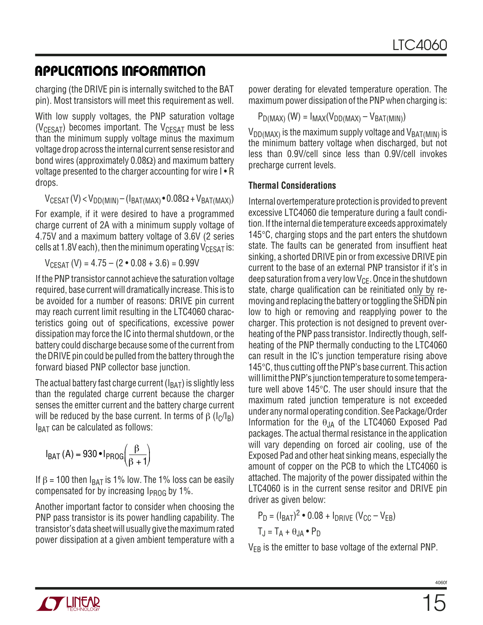### **APPLICATIONS INFORMATION**

charging (the DRIVE pin is internally switched to the BAT pin). Most transistors will meet this requirement as well.

With low supply voltages, the PNP saturation voltage ( $V_{CFSAT}$ ) becomes important. The  $V_{CFSAT}$  must be less than the minimum supply voltage minus the maximum voltage drop across the internal current sense resistor and bond wires (approximately 0.08Ω) and maximum battery voltage presented to the charger accounting for wire I • R drops.

 $V_{CESAT}$  (V) <  $V_{DD(MIN)}$  – ( $I_{BAT(MAX)}$  • 0.08 $\Omega$  +  $V_{BAT(MAX)}$ )

For example, if it were desired to have a programmed charge current of 2A with a minimum supply voltage of 4.75V and a maximum battery voltage of 3.6V (2 series cells at 1.8V each), then the minimum operating  $V_{CESAT}$  is:

 $V_{CFSAT}$  (V) = 4.75 – (2 • 0.08 + 3.6) = 0.99V

If the PNP transistor cannot achieve the saturation voltage required, base current will dramatically increase. This is to be avoided for a number of reasons: DRIVE pin current may reach current limit resulting in the LTC4060 characteristics going out of specifications, excessive power dissipation may force the IC into thermal shutdown, or the battery could discharge because some of the current from the DRIVE pin could be pulled from the battery through the forward biased PNP collector base junction.

The actual battery fast charge current  $(I<sub>BAT</sub>)$  is slightly less than the regulated charge current because the charger senses the emitter current and the battery charge current will be reduced by the base current. In terms of  $\beta$  ( $I<sub>C</sub>/I<sub>B</sub>$ )  $I_{BAT}$  can be calculated as follows:

$$
I_{BAT}(A) = 930 \cdot I_{PROG}\left(\frac{\beta}{\beta + 1}\right)
$$

If  $β = 100$  then  $I<sub>BAT</sub>$  is 1% low. The 1% loss can be easily compensated for by increasing  $I_{\text{PROG}}$  by 1%.

Another important factor to consider when choosing the PNP pass transistor is its power handling capability. The transistor's data sheet will usually give the maximum rated power dissipation at a given ambient temperature with a power derating for elevated temperature operation. The maximum power dissipation of the PNP when charging is:

$$
P_{D(MAX)}(W) = I_{MAX}(V_{DD(MAX)} - V_{BAT(MIN)})
$$

 $V_{DD(MAX)}$  is the maximum supply voltage and  $V_{BAT(MIN)}$  is the minimum battery voltage when discharged, but not less than 0.9V/cell since less than 0.9V/cell invokes precharge current levels.

#### **Thermal Considerations**

Internal overtemperature protection is provided to prevent excessive LTC4060 die temperature during a fault condition. If the internal die temperature exceeds approximately 145°C, charging stops and the part enters the shutdown state. The faults can be generated from insuffient heat sinking, a shorted DRIVE pin or from excessive DRIVE pin current to the base of an external PNP transistor if it's in deep saturation from a very low  $V_{CE}$ . Once in the shutdown state, charge qualification can be reinitiated only by removing and replacing the battery or toggling the SHDN pin low to high or removing and reapplying power to the charger. This protection is not designed to prevent overheating of the PNP pass transistor. Indirectly though, selfheating of the PNP thermally conducting to the LTC4060 can result in the IC's junction temperature rising above 145°C, thus cutting off the PNP's base current. This action will limit the PNP's junction temperature to some temperature well above 145°C. The user should insure that the maximum rated junction temperature is not exceeded under any normal operating condition. See Package/Order Information for the  $\theta_{JA}$  of the LTC4060 Exposed Pad packages. The actual thermal resistance in the application will vary depending on forced air cooling, use of the Exposed Pad and other heat sinking means, especially the amount of copper on the PCB to which the LTC4060 is attached. The majority of the power dissipated within the LTC4060 is in the current sense resitor and DRIVE pin driver as given below:

$$
P_D = (I_{BAT})^2 \cdot 0.08 + I_{DRIVE} (V_{CC} - V_{EB})
$$
  
T<sub>J</sub> = T<sub>A</sub> +  $\theta_{JA} \cdot P_D$ 

V<sub>EB</sub> is the emitter to base voltage of the external PNP.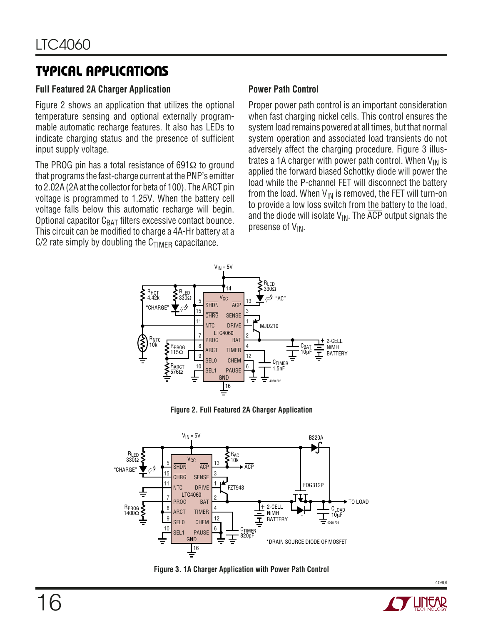### **TYPICAL APPLICATIONS**

#### **Full Featured 2A Charger Application**

Figure 2 shows an application that utilizes the optional temperature sensing and optional externally programmable automatic recharge features. It also has LEDs to indicate charging status and the presence of sufficient input supply voltage.

The PROG pin has a total resistance of 691 $\Omega$  to ground that programs the fast-charge current at the PNP's emitter to 2.02A (2A at the collector for beta of 100). The ARCT pin voltage is programmed to 1.25V. When the battery cell voltage falls below this automatic recharge will begin. Optional capacitor  $C_{BAT}$  filters excessive contact bounce. This circuit can be modified to charge a 4A-Hr battery at a  $C/2$  rate simply by doubling the  $C<sub>TIMER</sub>$  capacitance.

#### **Power Path Control**

Proper power path control is an important consideration when fast charging nickel cells. This control ensures the system load remains powered at all times, but that normal system operation and associated load transients do not adversely affect the charging procedure. Figure 3 illustrates a 1A charger with power path control. When  $V_{IN}$  is applied the forward biased Schottky diode will power the load while the P-channel FET will disconnect the battery from the load. When  $V_{IN}$  is removed, the FET will turn-on to provide a low loss switch from the battery to the load, and the diode will isolate  $V_{\text{IN}}$ . The  $\overline{ACP}$  output signals the presense of  $V_{IN}$ .



**Figure 2. Full Featured 2A Charger Application**



**Figure 3. 1A Charger Application with Power Path Control**

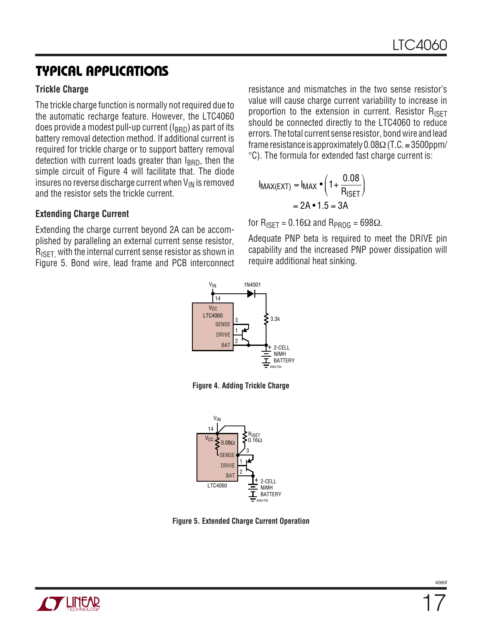### **TYPICAL APPLICATIONS**

#### **Trickle Charge**

The trickle charge function is normally not required due to the automatic recharge feature. However, the LTC4060 does provide a modest pull-up current  $(I_{\rm BRD})$  as part of its battery removal detection method. If additional current is required for trickle charge or to support battery removal detection with current loads greater than  $I_{\rm{RBD}}$ , then the simple circuit of Figure 4 will facilitate that. The diode insures no reverse discharge current when  $V_{IN}$  is removed and the resistor sets the trickle current.

#### **Extending Charge Current**

Extending the charge current beyond 2A can be accomplished by paralleling an external current sense resistor,  $R_{\text{ISET}}$  with the internal current sense resistor as shown in Figure 5. Bond wire, lead frame and PCB interconnect resistance and mismatches in the two sense resistor's value will cause charge current variability to increase in proportion to the extension in current. Resistor R<sub>ISFT</sub> should be connected directly to the LTC4060 to reduce errors. The total current sense resistor, bond wire and lead frame resistance is approximately  $0.08\Omega$  (T.C.  $\approx$  3500ppm/ °C). The formula for extended fast charge current is:

$$
I_{MAX(EXT)} = I_{MAX} \cdot \left(1 + \frac{0.08}{R_{ISET}}\right)
$$
  
= 2A \cdot 1.5 = 3A

for  $R_{\text{ISFT}} = 0.16\Omega$  and  $R_{\text{PROG}} = 698\Omega$ .

Adequate PNP beta is required to meet the DRIVE pin capability and the increased PNP power dissipation will require additional heat sinking.



**Figure 4. Adding Trickle Charge**



**Figure 5. Extended Charge Current Operation**

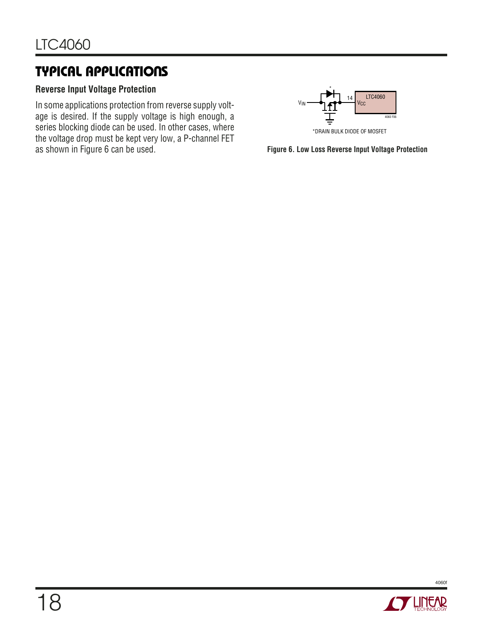### **TYPICAL APPLICATIONS**

#### **Reverse Input Voltage Protection**

In some applications protection from reverse supply voltage is desired. If the supply voltage is high enough, a series blocking diode can be used. In other cases, where the voltage drop must be kept very low, a P-channel FET as shown in Figure 6 can be used.



**Figure 6. Low Loss Reverse Input Voltage Protection**

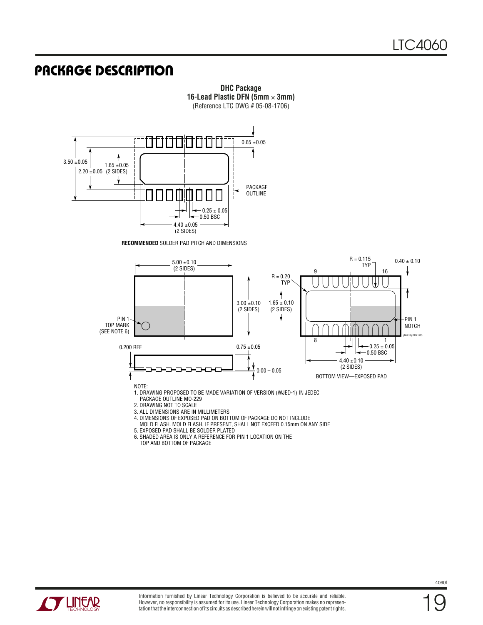### **U PACKAGE DESCRIPTIO**



**DHC Package 16-Lead Plastic DFN (5mm** × **3mm)** (Reference LTC DWG # 05-08-1706)

- 5. EXPOSED PAD SHALL BE SOLDER PLATED
- 6. SHADED AREA IS ONLY A REFERENCE FOR PIN 1 LOCATION ON THE TOP AND BOTTOM OF PACKAGE